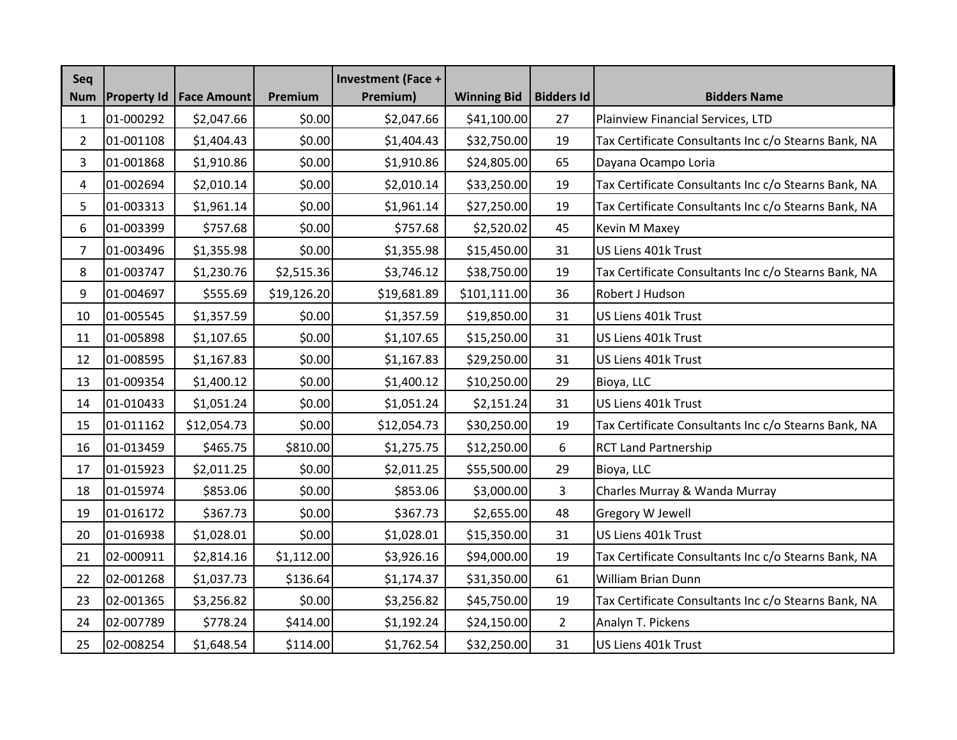| Seq<br><b>Num</b> | <b>Property Id</b> | <b>Face Amount</b> | Premium     | <b>Investment (Face +</b><br>Premium) | <b>Winning Bid</b> | <b>Bidders Id</b> | <b>Bidders Name</b>                                  |
|-------------------|--------------------|--------------------|-------------|---------------------------------------|--------------------|-------------------|------------------------------------------------------|
| $\mathbf{1}$      | 01-000292          | \$2,047.66         | \$0.00      | \$2,047.66                            | \$41,100.00        | 27                | Plainview Financial Services, LTD                    |
| $\overline{2}$    | 01-001108          | \$1,404.43         | \$0.00      | \$1,404.43                            | \$32,750.00        | 19                | Tax Certificate Consultants Inc c/o Stearns Bank, NA |
| 3                 | 01-001868          | \$1,910.86         | \$0.00      | \$1,910.86                            | \$24,805.00        | 65                | Dayana Ocampo Loria                                  |
| 4                 | 01-002694          | \$2,010.14         | \$0.00      | \$2,010.14                            | \$33,250.00        | 19                | Tax Certificate Consultants Inc c/o Stearns Bank, NA |
| 5                 | 01-003313          | \$1,961.14         | \$0.00      | \$1,961.14                            | \$27,250.00        | 19                | Tax Certificate Consultants Inc c/o Stearns Bank, NA |
| 6                 | 01-003399          | \$757.68           | \$0.00      | \$757.68                              | \$2,520.02         | 45                | Kevin M Maxey                                        |
| $\overline{7}$    | 01-003496          | \$1,355.98         | \$0.00      | \$1,355.98                            | \$15,450.00        | 31                | US Liens 401k Trust                                  |
| 8                 | 01-003747          | \$1,230.76         | \$2,515.36  | \$3,746.12                            | \$38,750.00        | 19                | Tax Certificate Consultants Inc c/o Stearns Bank, NA |
| 9                 | 01-004697          | \$555.69           | \$19,126.20 | \$19,681.89                           | \$101,111.00       | 36                | Robert J Hudson                                      |
| 10                | 01-005545          | \$1,357.59         | \$0.00      | \$1,357.59                            | \$19,850.00        | 31                | US Liens 401k Trust                                  |
| 11                | 01-005898          | \$1,107.65         | \$0.00      | \$1,107.65                            | \$15,250.00        | 31                | US Liens 401k Trust                                  |
| 12                | 01-008595          | \$1,167.83         | \$0.00      | \$1,167.83                            | \$29,250.00        | 31                | US Liens 401k Trust                                  |
| 13                | 01-009354          | \$1,400.12         | \$0.00      | \$1,400.12                            | \$10,250.00        | 29                | Bioya, LLC                                           |
| 14                | 01-010433          | \$1,051.24         | \$0.00      | \$1,051.24                            | \$2,151.24         | 31                | US Liens 401k Trust                                  |
| 15                | 01-011162          | \$12,054.73        | \$0.00      | \$12,054.73                           | \$30,250.00        | 19                | Tax Certificate Consultants Inc c/o Stearns Bank, NA |
| 16                | 01-013459          | \$465.75           | \$810.00    | \$1,275.75                            | \$12,250.00        | 6                 | <b>RCT Land Partnership</b>                          |
| 17                | 01-015923          | \$2,011.25         | \$0.00      | \$2,011.25                            | \$55,500.00        | 29                | Bioya, LLC                                           |
| 18                | 01-015974          | \$853.06           | \$0.00      | \$853.06                              | \$3,000.00         | 3                 | Charles Murray & Wanda Murray                        |
| 19                | 01-016172          | \$367.73           | \$0.00      | \$367.73                              | \$2,655.00         | 48                | Gregory W Jewell                                     |
| 20                | 01-016938          | \$1,028.01         | \$0.00      | \$1,028.01                            | \$15,350.00        | 31                | US Liens 401k Trust                                  |
| 21                | 02-000911          | \$2,814.16         | \$1,112.00  | \$3,926.16                            | \$94,000.00        | 19                | Tax Certificate Consultants Inc c/o Stearns Bank, NA |
| 22                | 02-001268          | \$1,037.73         | \$136.64    | \$1,174.37                            | \$31,350.00        | 61                | William Brian Dunn                                   |
| 23                | 02-001365          | \$3,256.82         | \$0.00      | \$3,256.82                            | \$45,750.00        | 19                | Tax Certificate Consultants Inc c/o Stearns Bank, NA |
| 24                | 02-007789          | \$778.24           | \$414.00    | \$1,192.24                            | \$24,150.00        | $\overline{2}$    | Analyn T. Pickens                                    |
| 25                | 02-008254          | \$1,648.54         | \$114.00    | \$1,762.54                            | \$32,250.00        | 31                | US Liens 401k Trust                                  |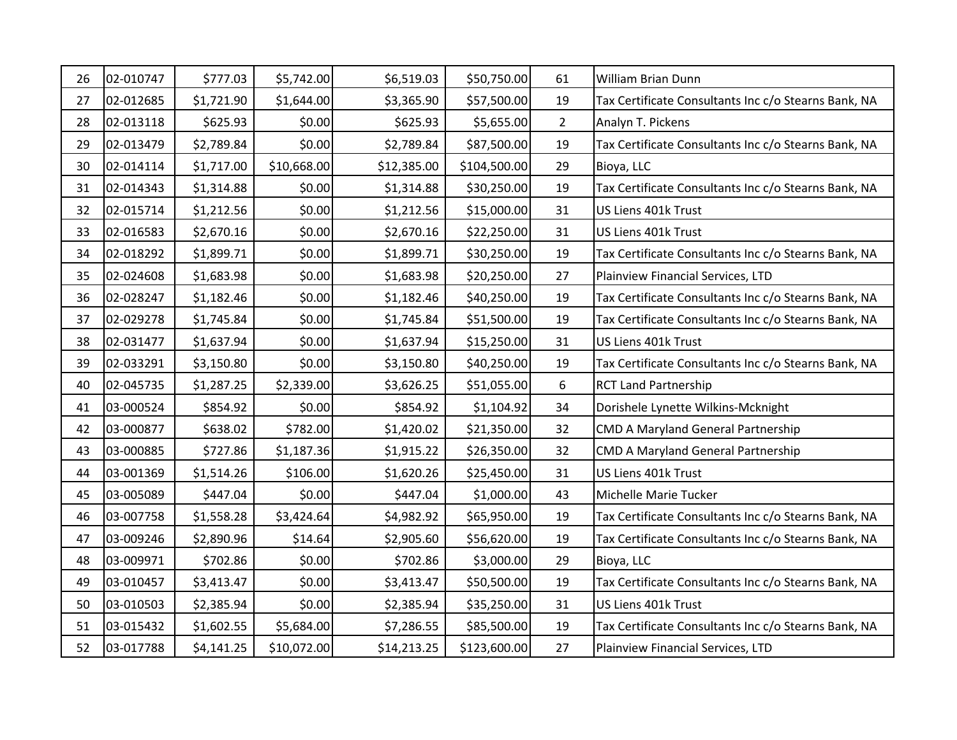| 26 | 02-010747 | \$777.03   | \$5,742.00  | \$6,519.03  | \$50,750.00  | 61             | William Brian Dunn                                   |
|----|-----------|------------|-------------|-------------|--------------|----------------|------------------------------------------------------|
| 27 | 02-012685 | \$1,721.90 | \$1,644.00  | \$3,365.90  | \$57,500.00  | 19             | Tax Certificate Consultants Inc c/o Stearns Bank, NA |
| 28 | 02-013118 | \$625.93   | \$0.00      | \$625.93    | \$5,655.00   | $\overline{2}$ | Analyn T. Pickens                                    |
| 29 | 02-013479 | \$2,789.84 | \$0.00      | \$2,789.84  | \$87,500.00  | 19             | Tax Certificate Consultants Inc c/o Stearns Bank, NA |
| 30 | 02-014114 | \$1,717.00 | \$10,668.00 | \$12,385.00 | \$104,500.00 | 29             | Bioya, LLC                                           |
| 31 | 02-014343 | \$1,314.88 | \$0.00      | \$1,314.88  | \$30,250.00  | 19             | Tax Certificate Consultants Inc c/o Stearns Bank, NA |
| 32 | 02-015714 | \$1,212.56 | \$0.00      | \$1,212.56  | \$15,000.00  | 31             | US Liens 401k Trust                                  |
| 33 | 02-016583 | \$2,670.16 | \$0.00      | \$2,670.16  | \$22,250.00  | 31             | US Liens 401k Trust                                  |
| 34 | 02-018292 | \$1,899.71 | \$0.00      | \$1,899.71  | \$30,250.00  | 19             | Tax Certificate Consultants Inc c/o Stearns Bank, NA |
| 35 | 02-024608 | \$1,683.98 | \$0.00      | \$1,683.98  | \$20,250.00  | 27             | Plainview Financial Services, LTD                    |
| 36 | 02-028247 | \$1,182.46 | \$0.00      | \$1,182.46  | \$40,250.00  | 19             | Tax Certificate Consultants Inc c/o Stearns Bank, NA |
| 37 | 02-029278 | \$1,745.84 | \$0.00      | \$1,745.84  | \$51,500.00  | 19             | Tax Certificate Consultants Inc c/o Stearns Bank, NA |
| 38 | 02-031477 | \$1,637.94 | \$0.00      | \$1,637.94  | \$15,250.00  | 31             | US Liens 401k Trust                                  |
| 39 | 02-033291 | \$3,150.80 | \$0.00      | \$3,150.80  | \$40,250.00  | 19             | Tax Certificate Consultants Inc c/o Stearns Bank, NA |
| 40 | 02-045735 | \$1,287.25 | \$2,339.00  | \$3,626.25  | \$51,055.00  | 6              | <b>RCT Land Partnership</b>                          |
| 41 | 03-000524 | \$854.92   | \$0.00      | \$854.92    | \$1,104.92   | 34             | Dorishele Lynette Wilkins-Mcknight                   |
| 42 | 03-000877 | \$638.02   | \$782.00    | \$1,420.02  | \$21,350.00  | 32             | <b>CMD A Maryland General Partnership</b>            |
| 43 | 03-000885 | \$727.86   | \$1,187.36  | \$1,915.22  | \$26,350.00  | 32             | <b>CMD A Maryland General Partnership</b>            |
| 44 | 03-001369 | \$1,514.26 | \$106.00    | \$1,620.26  | \$25,450.00  | 31             | US Liens 401k Trust                                  |
| 45 | 03-005089 | \$447.04   | \$0.00      | \$447.04    | \$1,000.00   | 43             | Michelle Marie Tucker                                |
| 46 | 03-007758 | \$1,558.28 | \$3,424.64  | \$4,982.92  | \$65,950.00  | 19             | Tax Certificate Consultants Inc c/o Stearns Bank, NA |
| 47 | 03-009246 | \$2,890.96 | \$14.64     | \$2,905.60  | \$56,620.00  | 19             | Tax Certificate Consultants Inc c/o Stearns Bank, NA |
| 48 | 03-009971 | \$702.86   | \$0.00      | \$702.86    | \$3,000.00   | 29             | Bioya, LLC                                           |
| 49 | 03-010457 | \$3,413.47 | \$0.00      | \$3,413.47  | \$50,500.00  | 19             | Tax Certificate Consultants Inc c/o Stearns Bank, NA |
| 50 | 03-010503 | \$2,385.94 | \$0.00      | \$2,385.94  | \$35,250.00  | 31             | US Liens 401k Trust                                  |
| 51 | 03-015432 | \$1,602.55 | \$5,684.00  | \$7,286.55  | \$85,500.00  | 19             | Tax Certificate Consultants Inc c/o Stearns Bank, NA |
| 52 | 03-017788 | \$4,141.25 | \$10,072.00 | \$14,213.25 | \$123,600.00 | 27             | Plainview Financial Services, LTD                    |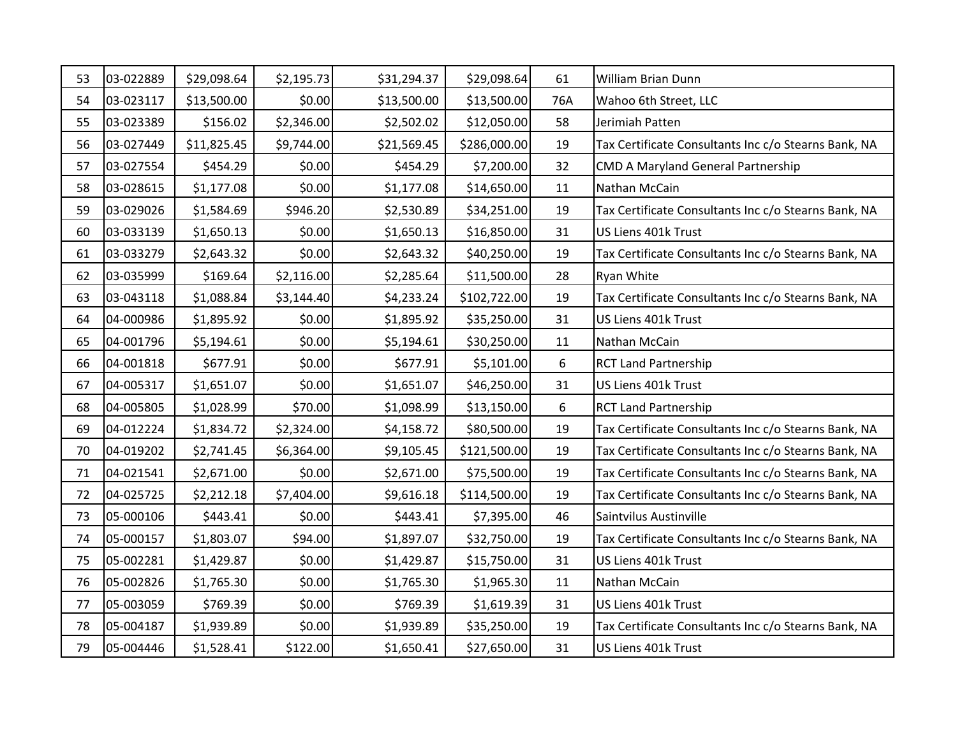| 53 | 03-022889 | \$29,098.64 | \$2,195.73 | \$31,294.37 | \$29,098.64  | 61  | William Brian Dunn                                   |
|----|-----------|-------------|------------|-------------|--------------|-----|------------------------------------------------------|
| 54 | 03-023117 | \$13,500.00 | \$0.00     | \$13,500.00 | \$13,500.00  | 76A | Wahoo 6th Street, LLC                                |
| 55 | 03-023389 | \$156.02    | \$2,346.00 | \$2,502.02  | \$12,050.00  | 58  | Jerimiah Patten                                      |
| 56 | 03-027449 | \$11,825.45 | \$9,744.00 | \$21,569.45 | \$286,000.00 | 19  | Tax Certificate Consultants Inc c/o Stearns Bank, NA |
| 57 | 03-027554 | \$454.29    | \$0.00     | \$454.29    | \$7,200.00   | 32  | <b>CMD A Maryland General Partnership</b>            |
| 58 | 03-028615 | \$1,177.08  | \$0.00     | \$1,177.08  | \$14,650.00  | 11  | Nathan McCain                                        |
| 59 | 03-029026 | \$1,584.69  | \$946.20   | \$2,530.89  | \$34,251.00  | 19  | Tax Certificate Consultants Inc c/o Stearns Bank, NA |
| 60 | 03-033139 | \$1,650.13  | \$0.00     | \$1,650.13  | \$16,850.00  | 31  | US Liens 401k Trust                                  |
| 61 | 03-033279 | \$2,643.32  | \$0.00     | \$2,643.32  | \$40,250.00  | 19  | Tax Certificate Consultants Inc c/o Stearns Bank, NA |
| 62 | 03-035999 | \$169.64    | \$2,116.00 | \$2,285.64  | \$11,500.00  | 28  | Ryan White                                           |
| 63 | 03-043118 | \$1,088.84  | \$3,144.40 | \$4,233.24  | \$102,722.00 | 19  | Tax Certificate Consultants Inc c/o Stearns Bank, NA |
| 64 | 04-000986 | \$1,895.92  | \$0.00     | \$1,895.92  | \$35,250.00  | 31  | US Liens 401k Trust                                  |
| 65 | 04-001796 | \$5,194.61  | \$0.00     | \$5,194.61  | \$30,250.00  | 11  | Nathan McCain                                        |
| 66 | 04-001818 | \$677.91    | \$0.00     | \$677.91    | \$5,101.00   | 6   | <b>RCT Land Partnership</b>                          |
| 67 | 04-005317 | \$1,651.07  | \$0.00     | \$1,651.07  | \$46,250.00  | 31  | US Liens 401k Trust                                  |
| 68 | 04-005805 | \$1,028.99  | \$70.00    | \$1,098.99  | \$13,150.00  | 6   | <b>RCT Land Partnership</b>                          |
| 69 | 04-012224 | \$1,834.72  | \$2,324.00 | \$4,158.72  | \$80,500.00  | 19  | Tax Certificate Consultants Inc c/o Stearns Bank, NA |
| 70 | 04-019202 | \$2,741.45  | \$6,364.00 | \$9,105.45  | \$121,500.00 | 19  | Tax Certificate Consultants Inc c/o Stearns Bank, NA |
| 71 | 04-021541 | \$2,671.00  | \$0.00     | \$2,671.00  | \$75,500.00  | 19  | Tax Certificate Consultants Inc c/o Stearns Bank, NA |
| 72 | 04-025725 | \$2,212.18  | \$7,404.00 | \$9,616.18  | \$114,500.00 | 19  | Tax Certificate Consultants Inc c/o Stearns Bank, NA |
| 73 | 05-000106 | \$443.41    | \$0.00     | \$443.41    | \$7,395.00   | 46  | Saintvilus Austinville                               |
| 74 | 05-000157 | \$1,803.07  | \$94.00    | \$1,897.07  | \$32,750.00  | 19  | Tax Certificate Consultants Inc c/o Stearns Bank, NA |
| 75 | 05-002281 | \$1,429.87  | \$0.00     | \$1,429.87  | \$15,750.00  | 31  | US Liens 401k Trust                                  |
| 76 | 05-002826 | \$1,765.30  | \$0.00     | \$1,765.30  | \$1,965.30   | 11  | Nathan McCain                                        |
| 77 | 05-003059 | \$769.39    | \$0.00     | \$769.39    | \$1,619.39   | 31  | US Liens 401k Trust                                  |
| 78 | 05-004187 | \$1,939.89  | \$0.00     | \$1,939.89  | \$35,250.00  | 19  | Tax Certificate Consultants Inc c/o Stearns Bank, NA |
| 79 | 05-004446 | \$1,528.41  | \$122.00   | \$1,650.41  | \$27,650.00  | 31  | US Liens 401k Trust                                  |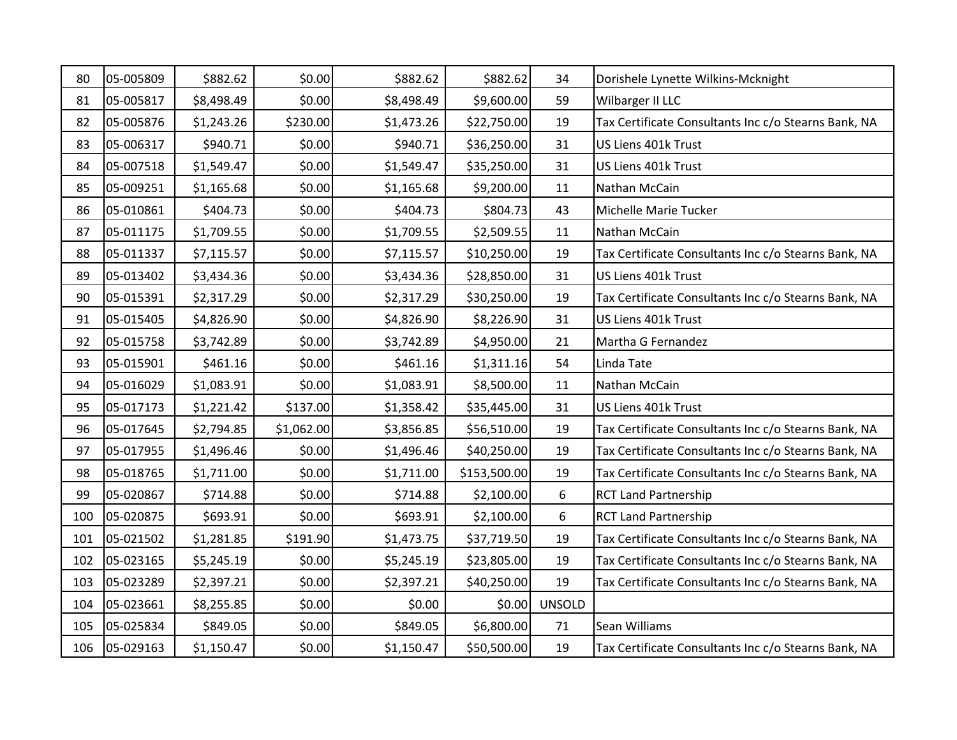| 80  | 05-005809 | \$882.62   | \$0.00     | \$882.62   | \$882.62     | 34            | Dorishele Lynette Wilkins-Mcknight                   |
|-----|-----------|------------|------------|------------|--------------|---------------|------------------------------------------------------|
| 81  | 05-005817 | \$8,498.49 | \$0.00     | \$8,498.49 | \$9,600.00   | 59            | Wilbarger II LLC                                     |
| 82  | 05-005876 | \$1,243.26 | \$230.00   | \$1,473.26 | \$22,750.00  | 19            | Tax Certificate Consultants Inc c/o Stearns Bank, NA |
| 83  | 05-006317 | \$940.71   | \$0.00     | \$940.71   | \$36,250.00  | 31            | US Liens 401k Trust                                  |
| 84  | 05-007518 | \$1,549.47 | \$0.00     | \$1,549.47 | \$35,250.00  | 31            | US Liens 401k Trust                                  |
| 85  | 05-009251 | \$1,165.68 | \$0.00     | \$1,165.68 | \$9,200.00   | 11            | Nathan McCain                                        |
| 86  | 05-010861 | \$404.73   | \$0.00     | \$404.73   | \$804.73     | 43            | Michelle Marie Tucker                                |
| 87  | 05-011175 | \$1,709.55 | \$0.00     | \$1,709.55 | \$2,509.55   | 11            | Nathan McCain                                        |
| 88  | 05-011337 | \$7,115.57 | \$0.00     | \$7,115.57 | \$10,250.00  | 19            | Tax Certificate Consultants Inc c/o Stearns Bank, NA |
| 89  | 05-013402 | \$3,434.36 | \$0.00     | \$3,434.36 | \$28,850.00  | 31            | US Liens 401k Trust                                  |
| 90  | 05-015391 | \$2,317.29 | \$0.00     | \$2,317.29 | \$30,250.00  | 19            | Tax Certificate Consultants Inc c/o Stearns Bank, NA |
| 91  | 05-015405 | \$4,826.90 | \$0.00     | \$4,826.90 | \$8,226.90   | 31            | US Liens 401k Trust                                  |
| 92  | 05-015758 | \$3,742.89 | \$0.00     | \$3,742.89 | \$4,950.00   | 21            | Martha G Fernandez                                   |
| 93  | 05-015901 | \$461.16   | \$0.00     | \$461.16   | \$1,311.16   | 54            | Linda Tate                                           |
| 94  | 05-016029 | \$1,083.91 | \$0.00     | \$1,083.91 | \$8,500.00   | 11            | Nathan McCain                                        |
| 95  | 05-017173 | \$1,221.42 | \$137.00   | \$1,358.42 | \$35,445.00  | 31            | US Liens 401k Trust                                  |
| 96  | 05-017645 | \$2,794.85 | \$1,062.00 | \$3,856.85 | \$56,510.00  | 19            | Tax Certificate Consultants Inc c/o Stearns Bank, NA |
| 97  | 05-017955 | \$1,496.46 | \$0.00     | \$1,496.46 | \$40,250.00  | 19            | Tax Certificate Consultants Inc c/o Stearns Bank, NA |
| 98  | 05-018765 | \$1,711.00 | \$0.00     | \$1,711.00 | \$153,500.00 | 19            | Tax Certificate Consultants Inc c/o Stearns Bank, NA |
| 99  | 05-020867 | \$714.88   | \$0.00     | \$714.88   | \$2,100.00   | 6             | <b>RCT Land Partnership</b>                          |
| 100 | 05-020875 | \$693.91   | \$0.00     | \$693.91   | \$2,100.00   | 6             | <b>RCT Land Partnership</b>                          |
| 101 | 05-021502 | \$1,281.85 | \$191.90   | \$1,473.75 | \$37,719.50  | 19            | Tax Certificate Consultants Inc c/o Stearns Bank, NA |
| 102 | 05-023165 | \$5,245.19 | \$0.00     | \$5,245.19 | \$23,805.00  | 19            | Tax Certificate Consultants Inc c/o Stearns Bank, NA |
| 103 | 05-023289 | \$2,397.21 | \$0.00     | \$2,397.21 | \$40,250.00  | 19            | Tax Certificate Consultants Inc c/o Stearns Bank, NA |
| 104 | 05-023661 | \$8,255.85 | \$0.00     | \$0.00     | \$0.00       | <b>UNSOLD</b> |                                                      |
| 105 | 05-025834 | \$849.05   | \$0.00     | \$849.05   | \$6,800.00   | 71            | Sean Williams                                        |
| 106 | 05-029163 | \$1,150.47 | \$0.00     | \$1,150.47 | \$50,500.00  | 19            | Tax Certificate Consultants Inc c/o Stearns Bank, NA |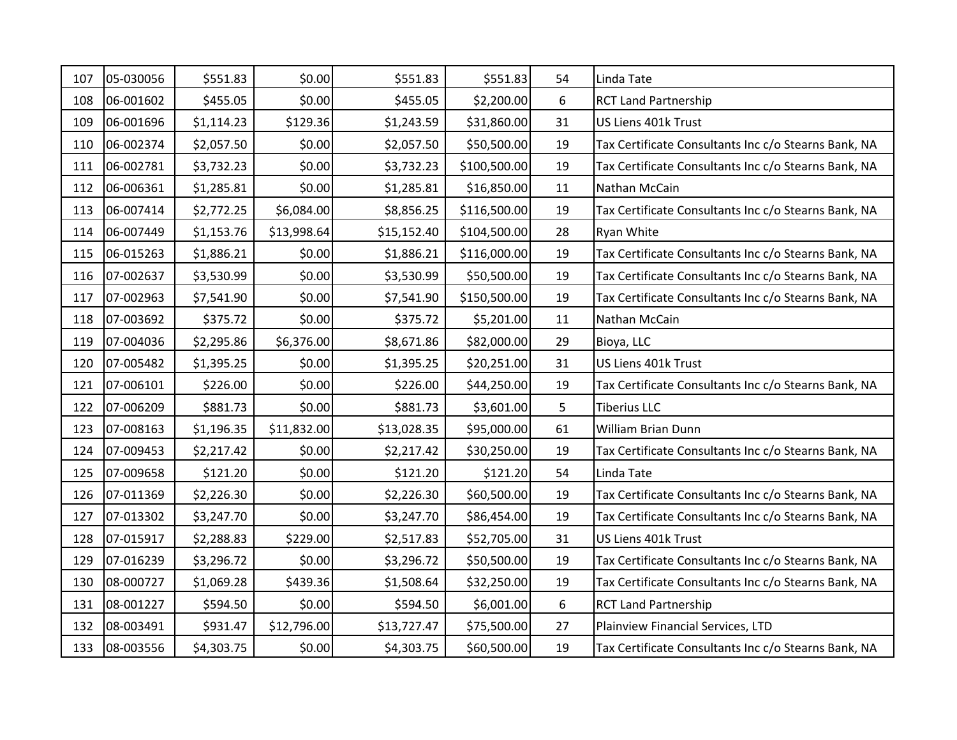| 107 | 05-030056 | \$551.83   | \$0.00      | \$551.83    | \$551.83     | 54 | Linda Tate                                           |
|-----|-----------|------------|-------------|-------------|--------------|----|------------------------------------------------------|
| 108 | 06-001602 | \$455.05   | \$0.00      | \$455.05    | \$2,200.00   | 6  | <b>RCT Land Partnership</b>                          |
| 109 | 06-001696 | \$1,114.23 | \$129.36    | \$1,243.59  | \$31,860.00  | 31 | US Liens 401k Trust                                  |
| 110 | 06-002374 | \$2,057.50 | \$0.00      | \$2,057.50  | \$50,500.00  | 19 | Tax Certificate Consultants Inc c/o Stearns Bank, NA |
| 111 | 06-002781 | \$3,732.23 | \$0.00      | \$3,732.23  | \$100,500.00 | 19 | Tax Certificate Consultants Inc c/o Stearns Bank, NA |
| 112 | 06-006361 | \$1,285.81 | \$0.00      | \$1,285.81  | \$16,850.00  | 11 | Nathan McCain                                        |
| 113 | 06-007414 | \$2,772.25 | \$6,084.00  | \$8,856.25  | \$116,500.00 | 19 | Tax Certificate Consultants Inc c/o Stearns Bank, NA |
| 114 | 06-007449 | \$1,153.76 | \$13,998.64 | \$15,152.40 | \$104,500.00 | 28 | Ryan White                                           |
| 115 | 06-015263 | \$1,886.21 | \$0.00      | \$1,886.21  | \$116,000.00 | 19 | Tax Certificate Consultants Inc c/o Stearns Bank, NA |
| 116 | 07-002637 | \$3,530.99 | \$0.00      | \$3,530.99  | \$50,500.00  | 19 | Tax Certificate Consultants Inc c/o Stearns Bank, NA |
| 117 | 07-002963 | \$7,541.90 | \$0.00      | \$7,541.90  | \$150,500.00 | 19 | Tax Certificate Consultants Inc c/o Stearns Bank, NA |
| 118 | 07-003692 | \$375.72   | \$0.00      | \$375.72    | \$5,201.00   | 11 | Nathan McCain                                        |
| 119 | 07-004036 | \$2,295.86 | \$6,376.00  | \$8,671.86  | \$82,000.00  | 29 | Bioya, LLC                                           |
| 120 | 07-005482 | \$1,395.25 | \$0.00      | \$1,395.25  | \$20,251.00  | 31 | US Liens 401k Trust                                  |
| 121 | 07-006101 | \$226.00   | \$0.00      | \$226.00    | \$44,250.00  | 19 | Tax Certificate Consultants Inc c/o Stearns Bank, NA |
| 122 | 07-006209 | \$881.73   | \$0.00      | \$881.73    | \$3,601.00   | 5  | <b>Tiberius LLC</b>                                  |
| 123 | 07-008163 | \$1,196.35 | \$11,832.00 | \$13,028.35 | \$95,000.00  | 61 | William Brian Dunn                                   |
| 124 | 07-009453 | \$2,217.42 | \$0.00      | \$2,217.42  | \$30,250.00  | 19 | Tax Certificate Consultants Inc c/o Stearns Bank, NA |
| 125 | 07-009658 | \$121.20   | \$0.00      | \$121.20    | \$121.20     | 54 | Linda Tate                                           |
| 126 | 07-011369 | \$2,226.30 | \$0.00      | \$2,226.30  | \$60,500.00  | 19 | Tax Certificate Consultants Inc c/o Stearns Bank, NA |
| 127 | 07-013302 | \$3,247.70 | \$0.00      | \$3,247.70  | \$86,454.00  | 19 | Tax Certificate Consultants Inc c/o Stearns Bank, NA |
| 128 | 07-015917 | \$2,288.83 | \$229.00    | \$2,517.83  | \$52,705.00  | 31 | US Liens 401k Trust                                  |
| 129 | 07-016239 | \$3,296.72 | \$0.00      | \$3,296.72  | \$50,500.00  | 19 | Tax Certificate Consultants Inc c/o Stearns Bank, NA |
| 130 | 08-000727 | \$1,069.28 | \$439.36    | \$1,508.64  | \$32,250.00  | 19 | Tax Certificate Consultants Inc c/o Stearns Bank, NA |
| 131 | 08-001227 | \$594.50   | \$0.00      | \$594.50    | \$6,001.00   | 6  | <b>RCT Land Partnership</b>                          |
| 132 | 08-003491 | \$931.47   | \$12,796.00 | \$13,727.47 | \$75,500.00  | 27 | Plainview Financial Services, LTD                    |
| 133 | 08-003556 | \$4,303.75 | \$0.00      | \$4,303.75  | \$60,500.00  | 19 | Tax Certificate Consultants Inc c/o Stearns Bank, NA |